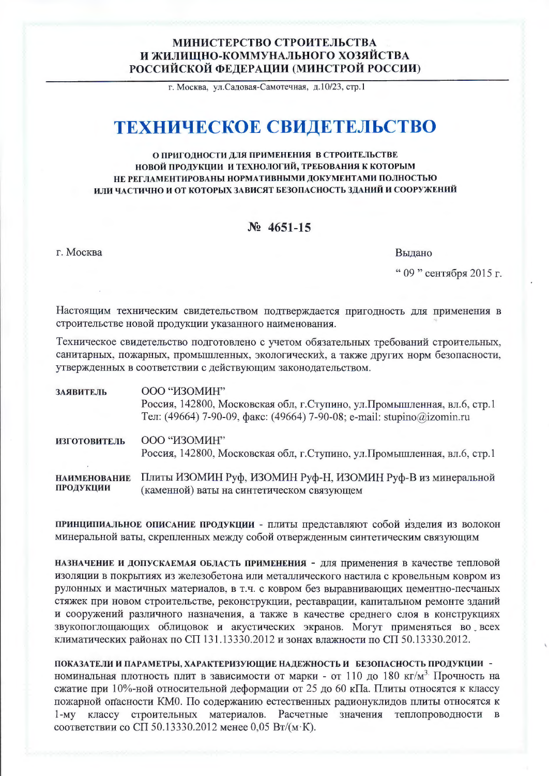## МИНИСТЕРСТВО СТРОИТЕЛЬСТВА И ЖИЛИШНО-КОММУНАЛЬНОГО ХОЗЯЙСТВА РОССИЙСКОЙ ФЕДЕРАЦИИ (МИНСТРОЙ РОССИИ)

г. Москва, ул. Садовая-Самотечная, д. 10/23, стр. 1

# ТЕХНИЧЕСКОЕ СВИДЕТЕЛЬСТВО

#### О ПРИГОДНОСТИ ДЛЯ ПРИМЕНЕНИЯ В СТРОИТЕЛЬСТВЕ НОВОЙ ПРОДУКЦИИ И ТЕХНОЛОГИЙ, ТРЕБОВАНИЯ К КОТОРЫМ НЕ РЕГЛАМЕНТИРОВАНЫ НОРМАТИВНЫМИ ДОКУМЕНТАМИ ПОЛНОСТЬЮ ИЛИ ЧАСТИЧНО И ОТ КОТОРЫХ ЗАВИСЯТ БЕЗОПАСНОСТЬ ЗДАНИЙ И СООРУЖЕНИЙ

## $N_2$  4651-15

г. Москва

Выдано

" 09 " сентября 2015 г.

Настоящим техническим свидетельством подтверждается пригодность для применения в строительстве новой продукции указанного наименования.

Техническое свидетельство подготовлено с учетом обязательных требований строительных, санитарных, пожарных, промышленных, экологических, а также других норм безопасности, утвержденных в соответствии с действующим законодательством.

| ЗАЯВИТЕЛЬ                        | ООО "ИЗОМИН"<br>Россия, 142800, Московская обл, г.Ступино, ул.Промышленная, вл.6, стр.1<br>Тел: (49664) 7-90-09, факс: (49664) 7-90-08; e-mail: stupino@izomin.ru |
|----------------------------------|-------------------------------------------------------------------------------------------------------------------------------------------------------------------|
| <b>ИЗГОТОВИТЕЛЬ</b>              | ООО "ИЗОМИН"<br>Россия, 142800, Московская обл, г. Ступино, ул. Промышленная, вл.6, стр.1                                                                         |
| <b>НАИМЕНОВАНИЕ</b><br>ПРОДУКЦИИ | Плиты ИЗОМИН Руф, ИЗОМИН Руф-Н, ИЗОМИН Руф-В из минеральной<br>(каменной) ваты на синтетическом связующем                                                         |

принципиальное описание продукции - плиты представляют собой изделия из волокон минеральной ваты, скрепленных между собой отвержденным синтетическим связующим

НАЗНАЧЕНИЕ И ДОПУСКАЕМАЯ ОБЛАСТЬ ПРИМЕНЕНИЯ - ДЛЯ Применения в качестве тепловой изоляции в покрытиях из железобетона или металлического настила с кровельным ковром из рулонных и мастичных материалов, в т.ч. с ковром без выравнивающих цементно-песчаных стяжек при новом строительстве, реконструкции, реставрации, капитальном ремонте зданий и сооружений различного назначения, а также в качестве среднего слоя в конструкциях звукопоглощающих облицовок и акустических экранов. Могут применяться во всех климатических районах по СП 131.13330.2012 и зонах влажности по СП 50.13330.2012.

ПОКАЗАТЕЛИ И ПАРАМЕТРЫ, ХАРАКТЕРИЗУЮЩИЕ НАДЕЖНОСТЬ И БЕЗОПАСНОСТЬ ПРОДУКЦИИ номинальная плотность плит в зависимости от марки - от 110 до 180 кг/м<sup>3.</sup> Прочность на сжатие при 10%-ной относительной деформации от 25 до 60 кПа. Плиты относятся к классу пожарной опасности КМО. По содержанию естественных радионуклидов плиты относятся к 1-му классу строительных материалов. Расчетные значения теплопроводности в соответствии со СП 50.13330.2012 менее 0.05 Вт/(м·К).